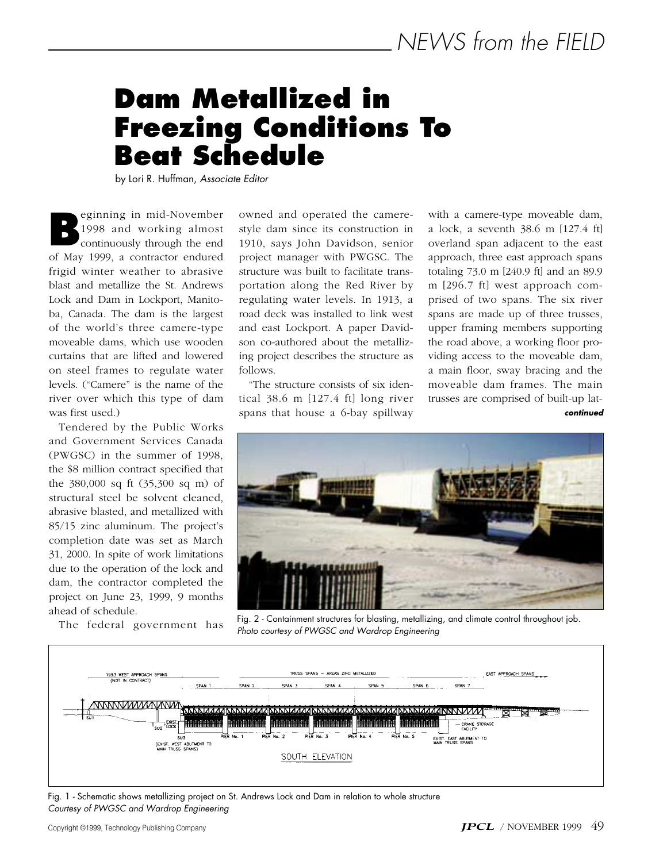# **Dam Metallized in Freezing Conditions To Beat Schedule**

by Lori R. Huffman, *Associate Editor*

eginning in mid-November 1998 and working almost continuously through the end of May 1999, a contractor endured frigid winter weather to abrasive blast and metallize the St. Andrews Lock and Dam in Lockport, Manitoba, Canada. The dam is the largest of the world's three camere-type moveable dams, which use wooden curtains that are lifted and lowered on steel frames to regulate water levels. ("Camere" is the name of the river over which this type of dam was first used.) **B**

Tendered by the Public Works and Government Services Canada (PWGSC) in the summer of 1998, the \$8 million contract specified that the 380,000 sq ft (35,300 sq m) of structural steel be solvent cleaned, abrasive blasted, and metallized with 85/15 zinc aluminum. The project's completion date was set as March 31, 2000. In spite of work limitations due to the operation of the lock and dam, the contractor completed the project on June 23, 1999, 9 months ahead of schedule.

The federal government has

owned and operated the camerestyle dam since its construction in 1910, says John Davidson, senior project manager with PWGSC. The structure was built to facilitate transportation along the Red River by regulating water levels. In 1913, a road deck was installed to link west and east Lockport. A paper Davidson co-authored about the metallizing project describes the structure as follows.

"The structure consists of six identical 38.6 m [127.4 ft] long river spans that house a 6-bay spillway

with a camere-type moveable dam, a lock, a seventh 38.6 m [127.4 ft] overland span adjacent to the east approach, three east approach spans totaling 73.0 m [240.9 ft] and an 89.9 m [296.7 ft] west approach comprised of two spans. The six river spans are made up of three trusses, upper framing members supporting the road above, a working floor providing access to the moveable dam, a main floor, sway bracing and the moveable dam frames. The main trusses are comprised of built-up lat*continued*



Fig. 2 - Containment structures for blasting, metallizing, and climate control throughout job. *Photo courtesy of PWGSC and Wardrop Engineering*



Fig. 1 - Schematic shows metallizing project on St. Andrews Lock and Dam in relation to whole structure *Courtesy of PWGSC and Wardrop Engineering*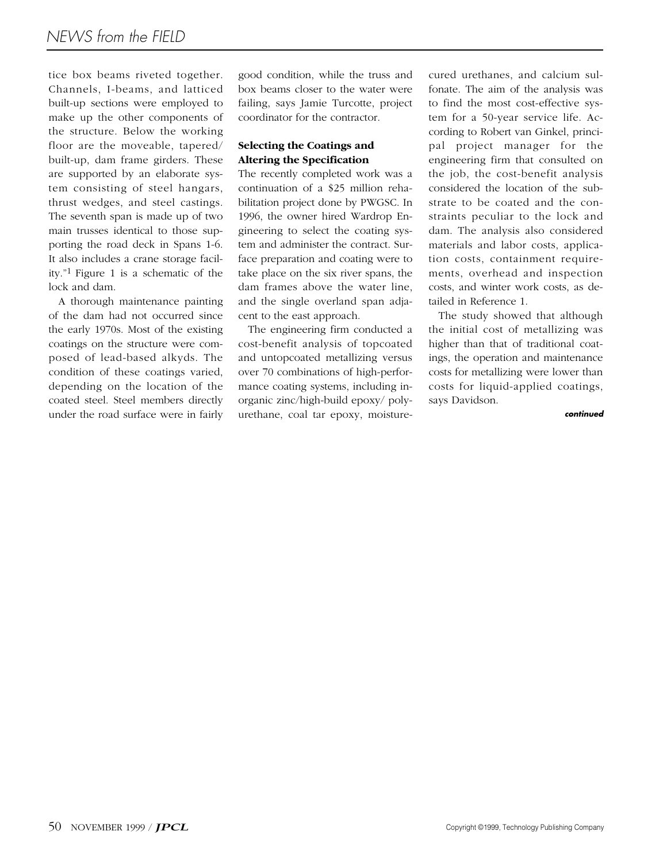tice box beams riveted together. Channels, I-beams, and latticed built-up sections were employed to make up the other components of the structure. Below the working floor are the moveable, tapered/ built-up, dam frame girders. These are supported by an elaborate system consisting of steel hangars, thrust wedges, and steel castings. The seventh span is made up of two main trusses identical to those supporting the road deck in Spans 1-6. It also includes a crane storage facility."1 Figure 1 is a schematic of the lock and dam.

A thorough maintenance painting of the dam had not occurred since the early 1970s. Most of the existing coatings on the structure were composed of lead-based alkyds. The condition of these coatings varied, depending on the location of the coated steel. Steel members directly under the road surface were in fairly good condition, while the truss and box beams closer to the water were failing, says Jamie Turcotte, project coordinator for the contractor.

# **Selecting the Coatings and Altering the Specification**

The recently completed work was a continuation of a \$25 million rehabilitation project done by PWGSC. In 1996, the owner hired Wardrop Engineering to select the coating system and administer the contract. Surface preparation and coating were to take place on the six river spans, the dam frames above the water line, and the single overland span adjacent to the east approach.

The engineering firm conducted a cost-benefit analysis of topcoated and untopcoated metallizing versus over 70 combinations of high-performance coating systems, including inorganic zinc/high-build epoxy/ polyurethane, coal tar epoxy, moisturecured urethanes, and calcium sulfonate. The aim of the analysis was to find the most cost-effective system for a 50-year service life. According to Robert van Ginkel, principal project manager for the engineering firm that consulted on the job, the cost-benefit analysis considered the location of the substrate to be coated and the constraints peculiar to the lock and dam. The analysis also considered materials and labor costs, application costs, containment requirements, overhead and inspection costs, and winter work costs, as detailed in Reference 1.

The study showed that although the initial cost of metallizing was higher than that of traditional coatings, the operation and maintenance costs for metallizing were lower than costs for liquid-applied coatings, says Davidson.

*continued*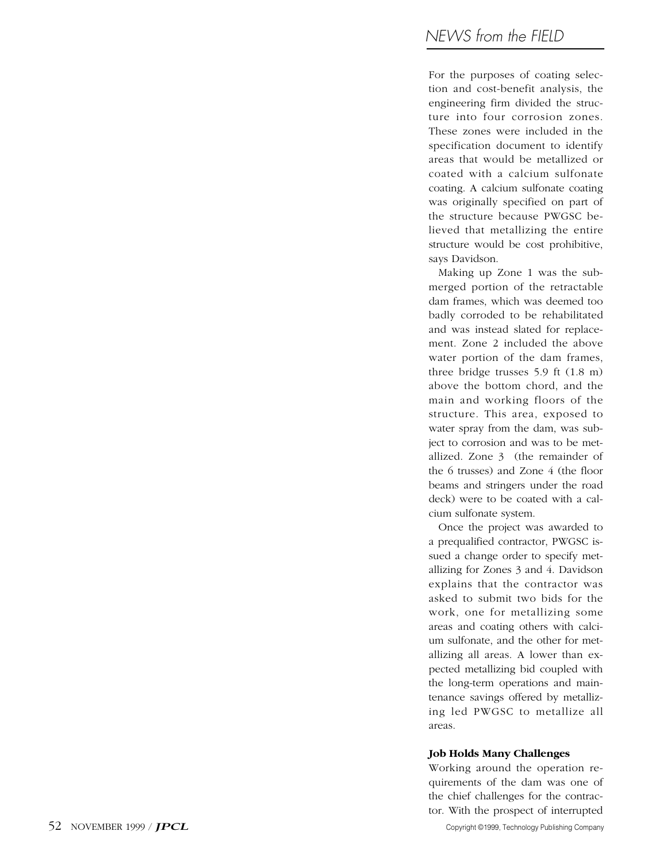For the purposes of coating selection and cost-benefit analysis, the engineering firm divided the structure into four corrosion zones. These zones were included in the specification document to identify areas that would be metallized or coated with a calcium sulfonate coating. A calcium sulfonate coating was originally specified on part of the structure because PWGSC believed that metallizing the entire structure would be cost prohibitive, says Davidson.

Making up Zone 1 was the submerged portion of the retractable dam frames, which was deemed too badly corroded to be rehabilitated and was instead slated for replacement. Zone 2 included the above water portion of the dam frames, three bridge trusses 5.9 ft (1.8 m) above the bottom chord, and the main and working floors of the structure. This area, exposed to water spray from the dam, was subject to corrosion and was to be metallized. Zone 3 (the remainder of the 6 trusses) and Zone 4 (the floor beams and stringers under the road deck) were to be coated with a calcium sulfonate system.

Once the project was awarded to a prequalified contractor, PWGSC issued a change order to specify metallizing for Zones 3 and 4. Davidson explains that the contractor was asked to submit two bids for the work, one for metallizing some areas and coating others with calcium sulfonate, and the other for metallizing all areas. A lower than expected metallizing bid coupled with the long-term operations and maintenance savings offered by metallizing led PWGSC to metallize all areas.

#### **Job Holds Many Challenges**

Working around the operation requirements of the dam was one of the chief challenges for the contractor. With the prospect of interrupted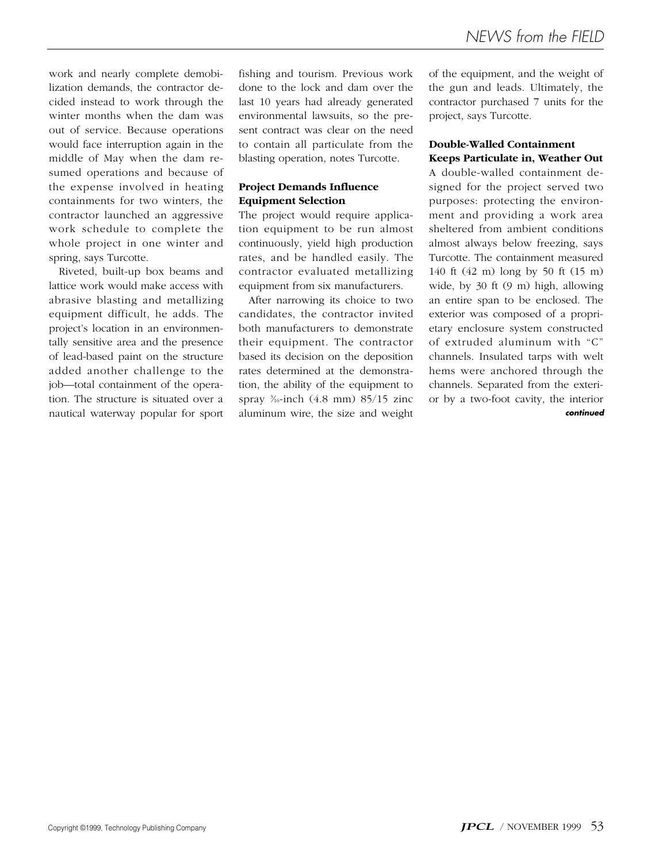work and nearly complete demobilization demands, the contractor decided instead to work through the winter months when the dam was out of service. Because operations would face interruption again in the middle of May when the dam resumed operations and because of the expense involved in heating containments for two winters, the contractor launched an aggressive work schedule to complete the whole project in one winter and spring, says Turcotte.

Riveted, built-up box beams and lattice work would make access with abrasive blasting and metallizing equipment difficult, he adds. The project's location in an environmentally sensitive area and the presence of lead-based paint on the structure added another challenge to the job—total containment of the operation. The structure is situated over a nautical waterway popular for sport

fishing and tourism. Previous work done to the lock and dam over the last 10 years had already generated environmental lawsuits, so the present contract was clear on the need to contain all particulate from the blasting operation, notes Turcotte.

# **Project Demands Influence Equipment Selection**

The project would require application equipment to be run almost continuously, yield high production rates, and be handled easily. The contractor evaluated metallizing equipment from six manufacturers.

After narrowing its choice to two candidates, the contractor invited both manufacturers to demonstrate their equipment. The contractor based its decision on the deposition rates determined at the demonstration, the ability of the equipment to spray 3 ⁄16-inch (4.8 mm) 85/15 zinc aluminum wire, the size and weight of the equipment, and the weight of the gun and leads. Ultimately, the contractor purchased 7 units for the project, says Turcotte.

# **Double-Walled Containment Keeps Particulate in, Weather Out**

A double-walled containment designed for the project served two purposes: protecting the environment and providing a work area sheltered from ambient conditions almost always below freezing, says Turcotte. The containment measured 140 ft (42 m) long by 50 ft (15 m) wide, by 30 ft (9 m) high, allowing an entire span to be enclosed. The exterior was composed of a proprietary enclosure system constructed of extruded aluminum with "C" channels. Insulated tarps with welt hems were anchored through the channels. Separated from the exterior by a two-foot cavity, the interior *continued*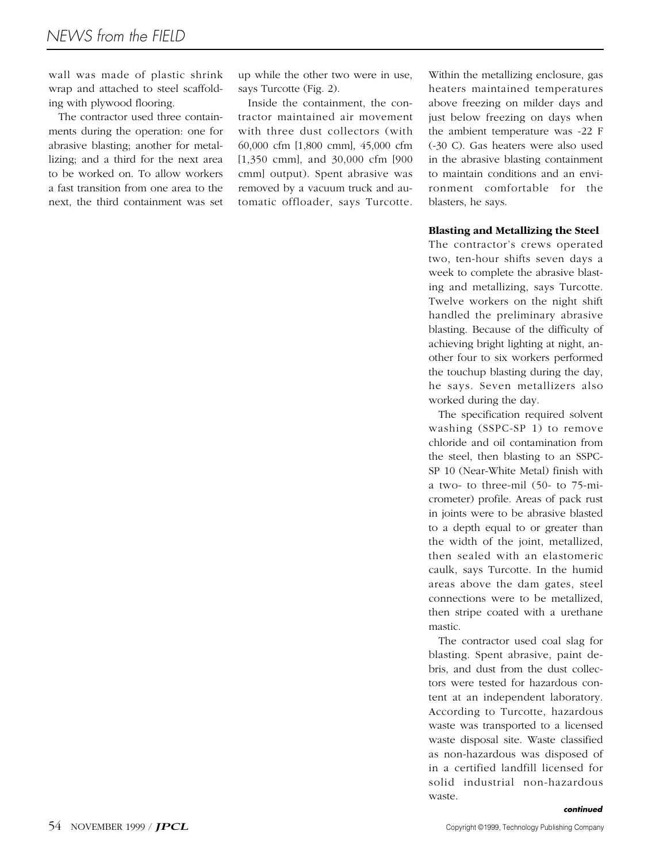wall was made of plastic shrink wrap and attached to steel scaffolding with plywood flooring.

The contractor used three containments during the operation: one for abrasive blasting; another for metallizing; and a third for the next area to be worked on. To allow workers a fast transition from one area to the next, the third containment was set up while the other two were in use, says Turcotte (Fig. 2).

Inside the containment, the contractor maintained air movement with three dust collectors (with 60,000 cfm [1,800 cmm], 45,000 cfm [1,350 cmm], and 30,000 cfm [900 cmm] output). Spent abrasive was removed by a vacuum truck and automatic offloader, says Turcotte.

Within the metallizing enclosure, gas heaters maintained temperatures above freezing on milder days and just below freezing on days when the ambient temperature was -22 F (-30 C). Gas heaters were also used in the abrasive blasting containment to maintain conditions and an environment comfortable for the blasters, he says.

## **Blasting and Metallizing the Steel**

The contractor's crews operated two, ten-hour shifts seven days a week to complete the abrasive blasting and metallizing, says Turcotte. Twelve workers on the night shift handled the preliminary abrasive blasting. Because of the difficulty of achieving bright lighting at night, another four to six workers performed the touchup blasting during the day, he says. Seven metallizers also worked during the day.

The specification required solvent washing (SSPC-SP 1) to remove chloride and oil contamination from the steel, then blasting to an SSPC-SP 10 (Near-White Metal) finish with a two- to three-mil (50- to 75-micrometer) profile. Areas of pack rust in joints were to be abrasive blasted to a depth equal to or greater than the width of the joint, metallized, then sealed with an elastomeric caulk, says Turcotte. In the humid areas above the dam gates, steel connections were to be metallized, then stripe coated with a urethane mastic.

The contractor used coal slag for blasting. Spent abrasive, paint debris, and dust from the dust collectors were tested for hazardous content at an independent laboratory. According to Turcotte, hazardous waste was transported to a licensed waste disposal site. Waste classified as non-hazardous was disposed of in a certified landfill licensed for solid industrial non-hazardous waste.

*continued*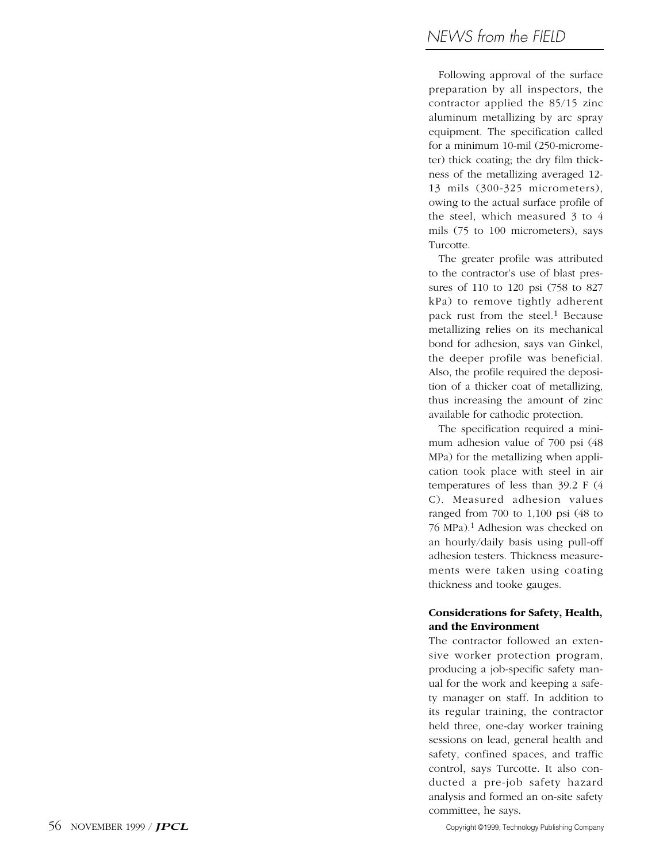Following approval of the surface preparation by all inspectors, the contractor applied the 85/15 zinc aluminum metallizing by arc spray equipment. The specification called for a minimum 10-mil (250-micrometer) thick coating; the dry film thickness of the metallizing averaged 12- 13 mils (300-325 micrometers), owing to the actual surface profile of the steel, which measured 3 to 4 mils (75 to 100 micrometers), says Turcotte.

The greater profile was attributed to the contractor's use of blast pressures of 110 to 120 psi (758 to 827 kPa) to remove tightly adherent pack rust from the steel. 1 Because metallizing relies on its mechanical bond for adhesion, says van Ginkel, the deeper profile was beneficial. Also, the profile required the deposition of a thicker coat of metallizing, thus increasing the amount of zinc available for cathodic protection.

The specification required a minimum adhesion value of 700 psi (48 MPa) for the metallizing when application took place with steel in air temperatures of less than 39.2 F (4 C). Measured adhesion values ranged from 700 to 1,100 psi (48 to 76 MPa).1 Adhesion was checked on an hourly/daily basis using pull-off adhesion testers. Thickness measurements were taken using coating thickness and tooke gauges.

# **Considerations for Safety, Health, and the Environment**

The contractor followed an extensive worker protection program, producing a job-specific safety manual for the work and keeping a safety manager on staff. In addition to its regular training, the contractor held three, one-day worker training sessions on lead, general health and safety, confined spaces, and traffic control, says Turcotte. It also conducted a pre-job safety hazard analysis and formed an on-site safety committee, he says.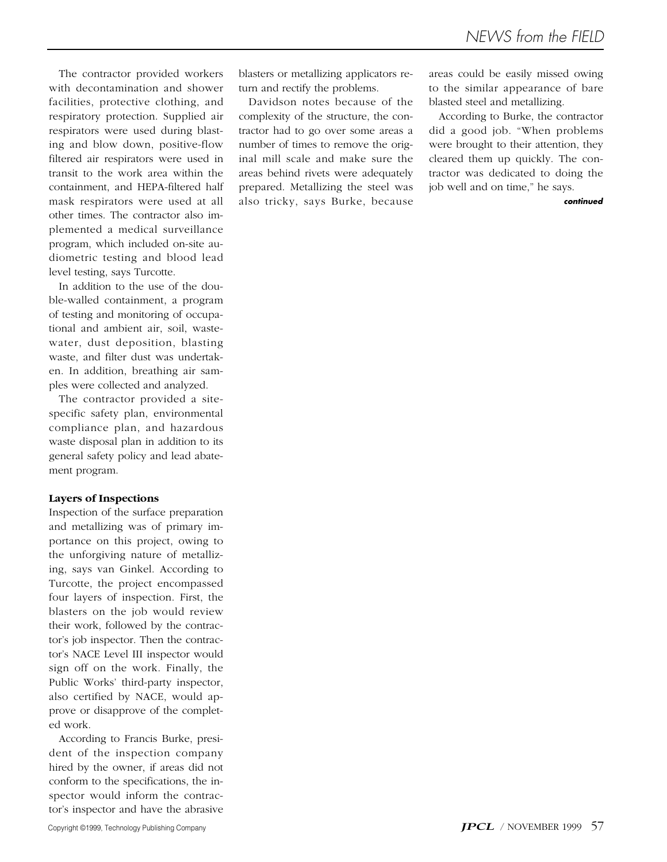The contractor provided workers with decontamination and shower facilities, protective clothing, and respiratory protection. Supplied air respirators were used during blasting and blow down, positive-flow filtered air respirators were used in transit to the work area within the containment, and HEPA-filtered half mask respirators were used at all other times. The contractor also implemented a medical surveillance program, which included on-site audiometric testing and blood lead level testing, says Turcotte.

In addition to the use of the double-walled containment, a program of testing and monitoring of occupational and ambient air, soil, wastewater, dust deposition, blasting waste, and filter dust was undertaken. In addition, breathing air samples were collected and analyzed.

The contractor provided a sitespecific safety plan, environmental compliance plan, and hazardous waste disposal plan in addition to its general safety policy and lead abatement program.

#### **Layers of Inspections**

Inspection of the surface preparation and metallizing was of primary importance on this project, owing to the unforgiving nature of metallizing, says van Ginkel. According to Turcotte, the project encompassed four layers of inspection. First, the blasters on the job would review their work, followed by the contractor's job inspector. Then the contractor's NACE Level III inspector would sign off on the work. Finally, the Public Works' third-party inspector, also certified by NACE, would approve or disapprove of the completed work.

According to Francis Burke, president of the inspection company hired by the owner, if areas did not conform to the specifications, the inspector would inform the contractor's inspector and have the abrasive

blasters or metallizing applicators return and rectify the problems.

Davidson notes because of the complexity of the structure, the contractor had to go over some areas a number of times to remove the original mill scale and make sure the areas behind rivets were adequately prepared. Metallizing the steel was also tricky, says Burke, because

areas could be easily missed owing to the similar appearance of bare blasted steel and metallizing.

According to Burke, the contractor did a good job. "When problems were brought to their attention, they cleared them up quickly. The contractor was dedicated to doing the job well and on time," he says.

#### *continued*